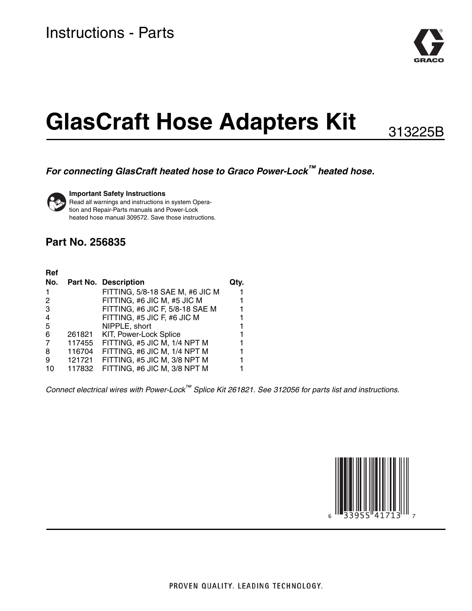

# **GlasCraft Hose Adapters Kit**

313225B

### *For connecting GlasCraft heated hose to Graco Power-Lock™ heated hose.*



**Important Safety Instructions**

Read all warnings and instructions in system Operation and Repair-Parts manuals and Power-Lock heated hose manual 309572. Save those instructions.

### **Part No. 256835**

| Ref            |        |                                 |  |
|----------------|--------|---------------------------------|--|
|                |        | No. Part No. Description        |  |
|                |        | FITTING, 5/8-18 SAE M, #6 JIC M |  |
| 2              |        | FITTING, #6 JIC M, #5 JIC M     |  |
| 3              |        | FITTING, #6 JIC F, 5/8-18 SAE M |  |
| $\overline{4}$ |        | FITTING, #5 JIC F, #6 JIC M     |  |
| 5              |        | NIPPLE, short                   |  |
| 6              | 261821 | KIT, Power-Lock Splice          |  |
| 7              | 117455 | FITTING, #5 JIC M, 1/4 NPT M    |  |
| 8              | 116704 | FITTING, #6 JIC M, 1/4 NPT M    |  |
| 9              | 121721 | FITTING, #5 JIC M, 3/8 NPT M    |  |
| 10             | 117832 | FITTING, #6 JIC M, 3/8 NPT M    |  |
|                |        |                                 |  |

*Connect electrical wires with Power-Lock™ Splice Kit 261821. See 312056 for parts list and instructions.*